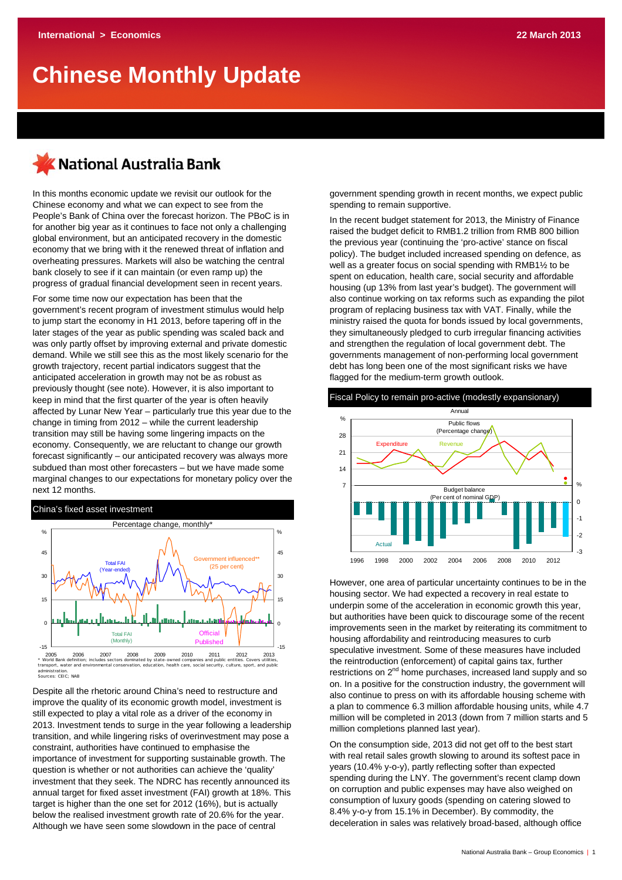# **Chinese Monthly Update**

# **National Australia Bank**

In this months economic update we revisit our outlook for the Chinese economy and what we can expect to see from the People's Bank of China over the forecast horizon. The PBoC is in for another big year as it continues to face not only a challenging global environment, but an anticipated recovery in the domestic economy that we bring with it the renewed threat of inflation and overheating pressures. Markets will also be watching the central bank closely to see if it can maintain (or even ramp up) the progress of gradual financial development seen in recent years.

For some time now our expectation has been that the government's recent program of investment stimulus would help to jump start the economy in H1 2013, before tapering off in the later stages of the year as public spending was scaled back and was only partly offset by improving external and private domestic demand. While we still see this as the most likely scenario for the growth trajectory, recent partial indicators suggest that the anticipated acceleration in growth may not be as robust as previously thought (see note). However, it is also important to keep in mind that the first quarter of the year is often heavily affected by Lunar New Year – particularly true this year due to the change in timing from 2012 – while the current leadership transition may still be having some lingering impacts on the economy. Consequently, we are reluctant to change our growth forecast significantly – our anticipated recovery was always more subdued than most other forecasters – but we have made some marginal changes to our expectations for monetary policy over the next 12 months.

#### China's fixed asset investment



administration. Sources: CEIC; NAB

Despite all the rhetoric around China's need to restructure and improve the quality of its economic growth model, investment is still expected to play a vital role as a driver of the economy in 2013. Investment tends to surge in the year following a leadership transition, and while lingering risks of overinvestment may pose a constraint, authorities have continued to emphasise the importance of investment for supporting sustainable growth. The question is whether or not authorities can achieve the 'quality' investment that they seek. The NDRC has recently announced its annual target for fixed asset investment (FAI) growth at 18%. This target is higher than the one set for 2012 (16%), but is actually below the realised investment growth rate of 20.6% for the year. Although we have seen some slowdown in the pace of central

government spending growth in recent months, we expect public spending to remain supportive.

In the recent budget statement for 2013, the Ministry of Finance raised the budget deficit to RMB1.2 trillion from RMB 800 billion the previous year (continuing the 'pro-active' stance on fiscal policy). The budget included increased spending on defence, as well as a greater focus on social spending with RMB1½ to be spent on education, health care, social security and affordable housing (up 13% from last year's budget). The government will also continue working on tax reforms such as expanding the pilot program of replacing business tax with VAT. Finally, while the ministry raised the quota for bonds issued by local governments, they simultaneously pledged to curb irregular financing activities and strengthen the regulation of local government debt. The governments management of non-performing local government debt has long been one of the most significant risks we have flagged for the medium-term growth outlook.



However, one area of particular uncertainty continues to be in the housing sector. We had expected a recovery in real estate to underpin some of the acceleration in economic growth this year, but authorities have been quick to discourage some of the recent improvements seen in the market by reiterating its commitment to housing affordability and reintroducing measures to curb speculative investment. Some of these measures have included the reintroduction (enforcement) of capital gains tax, further restrictions on 2<sup>nd</sup> home purchases, increased land supply and so on. In a positive for the construction industry, the government will also continue to press on with its affordable housing scheme with a plan to commence 6.3 million affordable housing units, while 4.7 million will be completed in 2013 (down from 7 million starts and 5 million completions planned last year).

On the consumption side, 2013 did not get off to the best start with real retail sales growth slowing to around its softest pace in years (10.4% y-o-y), partly reflecting softer than expected spending during the LNY. The government's recent clamp down on corruption and public expenses may have also weighed on consumption of luxury goods (spending on catering slowed to 8.4% y-o-y from 15.1% in December). By commodity, the deceleration in sales was relatively broad-based, although office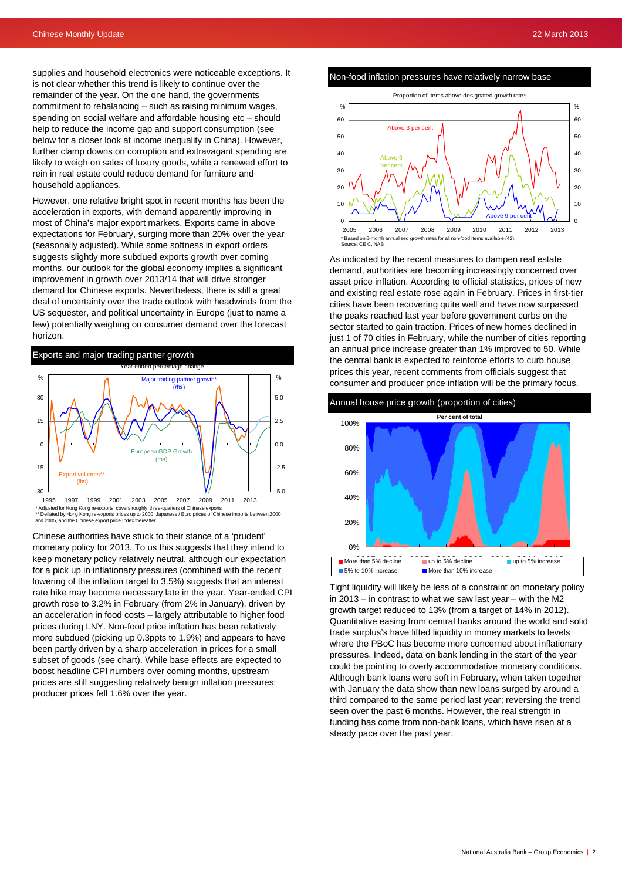supplies and household electronics were noticeable exceptions. It is not clear whether this trend is likely to continue over the remainder of the year. On the one hand, the governments commitment to rebalancing – such as raising minimum wages, spending on social welfare and affordable housing etc – should help to reduce the income gap and support consumption (see below for a closer look at income inequality in China). However, further clamp downs on corruption and extravagant spending are likely to weigh on sales of luxury goods, while a renewed effort to rein in real estate could reduce demand for furniture and household appliances.

However, one relative bright spot in recent months has been the acceleration in exports, with demand apparently improving in most of China's major export markets. Exports came in above expectations for February, surging more than 20% over the year (seasonally adjusted). While some softness in export orders suggests slightly more subdued exports growth over coming months, our outlook for the global economy implies a significant improvement in growth over 2013/14 that will drive stronger demand for Chinese exports. Nevertheless, there is still a great deal of uncertainty over the trade outlook with headwinds from the US sequester, and political uncertainty in Europe (just to name a few) potentially weighing on consumer demand over the forecast horizon.



\*\* Deflated by Hong Kong re-exports prices up to 2000, Japanese / Euro prices of Chinese imports between 2000 and 2005, and the Chinese export price index thereafter.

Chinese authorities have stuck to their stance of a 'prudent' monetary policy for 2013. To us this suggests that they intend to keep monetary policy relatively neutral, although our expectation for a pick up in inflationary pressures (combined with the recent lowering of the inflation target to 3.5%) suggests that an interest rate hike may become necessary late in the year. Year-ended CPI growth rose to 3.2% in February (from 2% in January), driven by an acceleration in food costs – largely attributable to higher food prices during LNY. Non-food price inflation has been relatively more subdued (picking up 0.3ppts to 1.9%) and appears to have been partly driven by a sharp acceleration in prices for a small subset of goods (see chart). While base effects are expected to boost headline CPI numbers over coming months, upstream prices are still suggesting relatively benign inflation pressures; producer prices fell 1.6% over the year.

#### Non-food inflation pressures have relatively narrow base



As indicated by the recent measures to dampen real estate demand, authorities are becoming increasingly concerned over asset price inflation. According to official statistics, prices of new and existing real estate rose again in February. Prices in first-tier cities have been recovering quite well and have now surpassed the peaks reached last year before government curbs on the sector started to gain traction. Prices of new homes declined in just 1 of 70 cities in February, while the number of cities reporting an annual price increase greater than 1% improved to 50. While the central bank is expected to reinforce efforts to curb house prices this year, recent comments from officials suggest that consumer and producer price inflation will be the primary focus.



Tight liquidity will likely be less of a constraint on monetary policy in 2013 – in contrast to what we saw last year – with the M2 growth target reduced to 13% (from a target of 14% in 2012). Quantitative easing from central banks around the world and solid trade surplus's have lifted liquidity in money markets to levels where the PBoC has become more concerned about inflationary pressures. Indeed, data on bank lending in the start of the year could be pointing to overly accommodative monetary conditions. Although bank loans were soft in February, when taken together with January the data show than new loans surged by around a third compared to the same period last year; reversing the trend seen over the past 6 months. However, the real strength in funding has come from non-bank loans, which have risen at a steady pace over the past year.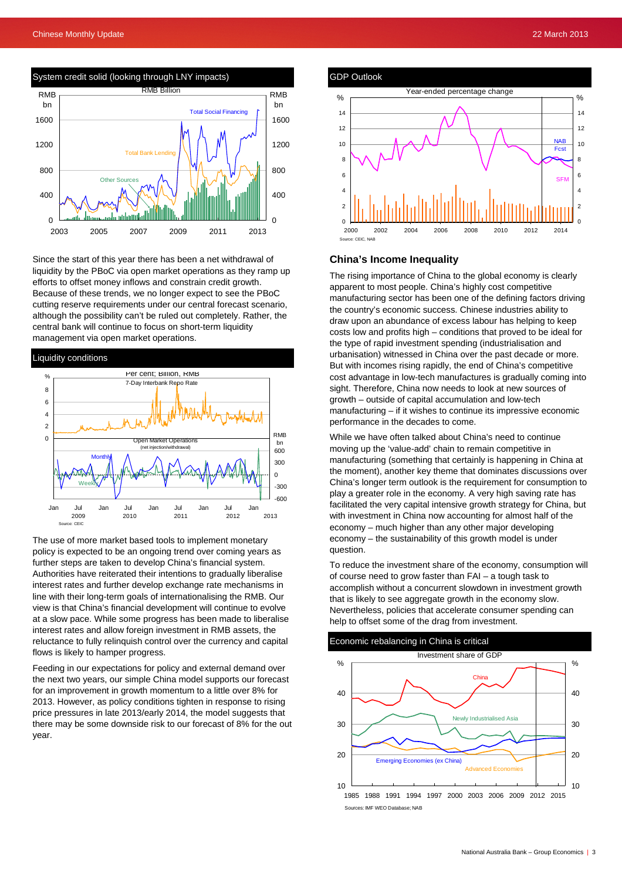

Since the start of this year there has been a net withdrawal of liquidity by the PBoC via open market operations as they ramp up efforts to offset money inflows and constrain credit growth. Because of these trends, we no longer expect to see the PBoC cutting reserve requirements under our central forecast scenario, although the possibility can't be ruled out completely. Rather, the central bank will continue to focus on short-term liquidity management via open market operations.

#### Liquidity conditions



The use of more market based tools to implement monetary policy is expected to be an ongoing trend over coming years as further steps are taken to develop China's financial system. Authorities have reiterated their intentions to gradually liberalise interest rates and further develop exchange rate mechanisms in line with their long-term goals of internationalising the RMB. Our view is that China's financial development will continue to evolve at a slow pace. While some progress has been made to liberalise interest rates and allow foreign investment in RMB assets, the reluctance to fully relinquish control over the currency and capital flows is likely to hamper progress.

Feeding in our expectations for policy and external demand over the next two years, our simple China model supports our forecast for an improvement in growth momentum to a little over 8% for 2013. However, as policy conditions tighten in response to rising price pressures in late 2013/early 2014, the model suggests that there may be some downside risk to our forecast of 8% for the out year.





#### **China's Income Inequality**

The rising importance of China to the global economy is clearly apparent to most people. China's highly cost competitive manufacturing sector has been one of the defining factors driving the country's economic success. Chinese industries ability to draw upon an abundance of excess labour has helping to keep costs low and profits high – conditions that proved to be ideal for the type of rapid investment spending (industrialisation and urbanisation) witnessed in China over the past decade or more. But with incomes rising rapidly, the end of China's competitive cost advantage in low-tech manufactures is gradually coming into sight. Therefore, China now needs to look at new sources of growth – outside of capital accumulation and low-tech manufacturing – if it wishes to continue its impressive economic performance in the decades to come.

While we have often talked about China's need to continue moving up the 'value-add' chain to remain competitive in manufacturing (something that certainly is happening in China at the moment), another key theme that dominates discussions over China's longer term outlook is the requirement for consumption to play a greater role in the economy. A very high saving rate has facilitated the very capital intensive growth strategy for China, but with investment in China now accounting for almost half of the economy – much higher than any other major developing economy – the sustainability of this growth model is under question.

To reduce the investment share of the economy, consumption will of course need to grow faster than FAI – a tough task to accomplish without a concurrent slowdown in investment growth that is likely to see aggregate growth in the economy slow. Nevertheless, policies that accelerate consumer spending can help to offset some of the drag from investment.



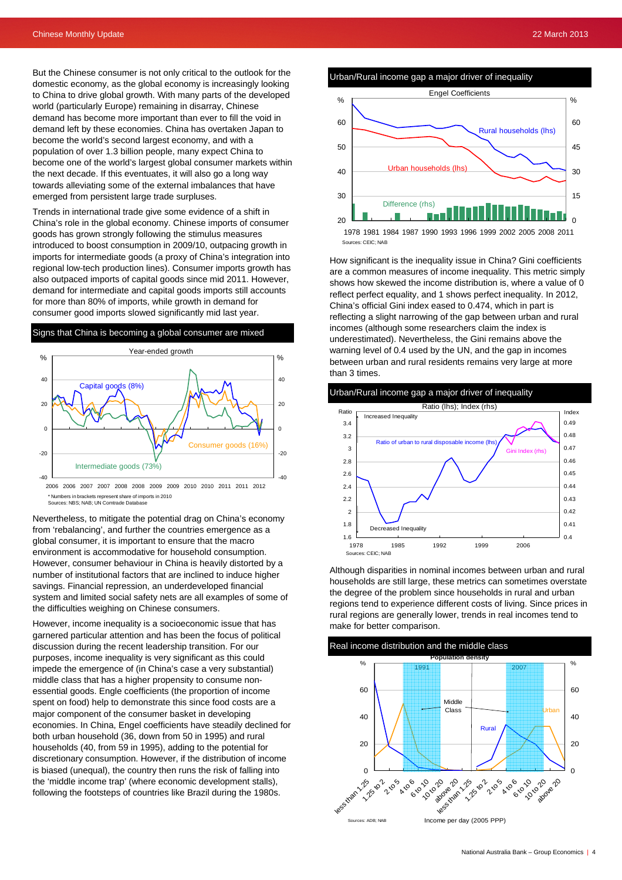But the Chinese consumer is not only critical to the outlook for the domestic economy, as the global economy is increasingly looking to China to drive global growth. With many parts of the developed world (particularly Europe) remaining in disarray, Chinese demand has become more important than ever to fill the void in demand left by these economies. China has overtaken Japan to become the world's second largest economy, and with a population of over 1.3 billion people, many expect China to become one of the world's largest global consumer markets within the next decade. If this eventuates, it will also go a long way towards alleviating some of the external imbalances that have emerged from persistent large trade surpluses.

Trends in international trade give some evidence of a shift in China's role in the global economy. Chinese imports of consumer goods has grown strongly following the stimulus measures introduced to boost consumption in 2009/10, outpacing growth in imports for intermediate goods (a proxy of China's integration into regional low-tech production lines). Consumer imports growth has also outpaced imports of capital goods since mid 2011. However, demand for intermediate and capital goods imports still accounts for more than 80% of imports, while growth in demand for consumer good imports slowed significantly mid last year.





\* Numbers in brackets represent share of imports in 2010 Sources: NBS; NAB; UN Comtrade Database

Nevertheless, to mitigate the potential drag on China's economy from 'rebalancing', and further the countries emergence as a global consumer, it is important to ensure that the macro environment is accommodative for household consumption. However, consumer behaviour in China is heavily distorted by a number of institutional factors that are inclined to induce higher savings. Financial repression, an underdeveloped financial system and limited social safety nets are all examples of some of the difficulties weighing on Chinese consumers.

However, income inequality is a socioeconomic issue that has garnered particular attention and has been the focus of political discussion during the recent leadership transition. For our purposes, income inequality is very significant as this could impede the emergence of (in China's case a very substantial) middle class that has a higher propensity to consume nonessential goods. Engle coefficients (the proportion of income spent on food) help to demonstrate this since food costs are a major component of the consumer basket in developing economies. In China, Engel coefficients have steadily declined for both urban household (36, down from 50 in 1995) and rural households (40, from 59 in 1995), adding to the potential for discretionary consumption. However, if the distribution of income is biased (unequal), the country then runs the risk of falling into the 'middle income trap' (where economic development stalls), following the footsteps of countries like Brazil during the 1980s.





How significant is the inequality issue in China? Gini coefficients are a common measures of income inequality. This metric simply shows how skewed the income distribution is, where a value of 0 reflect perfect equality, and 1 shows perfect inequality. In 2012, China's official Gini index eased to 0.474, which in part is reflecting a slight narrowing of the gap between urban and rural incomes (although some researchers claim the index is underestimated). Nevertheless, the Gini remains above the warning level of 0.4 used by the UN, and the gap in incomes between urban and rural residents remains very large at more than 3 times.





Although disparities in nominal incomes between urban and rural households are still large, these metrics can sometimes overstate the degree of the problem since households in rural and urban regions tend to experience different costs of living. Since prices in rural regions are generally lower, trends in real incomes tend to make for better comparison.

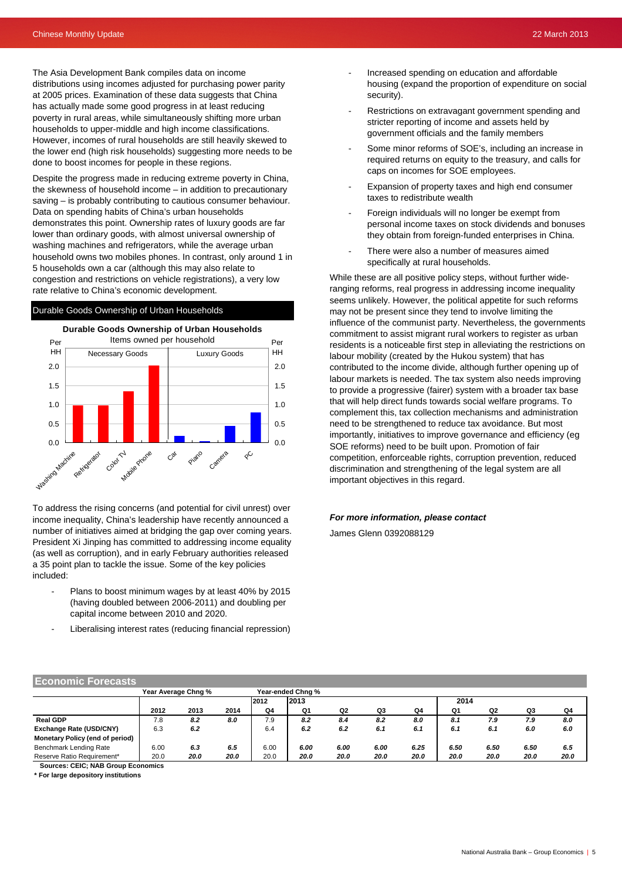The Asia Development Bank compiles data on income distributions using incomes adjusted for purchasing power parity at 2005 prices. Examination of these data suggests that China has actually made some good progress in at least reducing poverty in rural areas, while simultaneously shifting more urban households to upper-middle and high income classifications. However, incomes of rural households are still heavily skewed to the lower end (high risk households) suggesting more needs to be done to boost incomes for people in these regions.

caps on incomes for SOE employees.<br>Despite the progress made in reducing extreme poverty in China, the skewness of household income – in addition to precautionary saving – is probably contributing to cautious consumer behaviour. Data on spending habits of China's urban households demonstrates this point. Ownership rates of luxury goods are far lower than ordinary goods, with almost universal ownership of washing machines and refrigerators, while the average urban household owns two mobiles phones. In contrast, only around 1 in 5 households own a car (although this may also relate to congestion and restrictions on vehicle registrations), a very low rate relative to China's economic development.

#### Durable Goods Ownership of Urban Households



To address the rising concerns (and potential for civil unrest) over income inequality, China's leadership have recently announced a number of initiatives aimed at bridging the gap over coming years. President Xi Jinping has committed to addressing income equality (as well as corruption), and in early February authorities released a 35 point plan to tackle the issue. Some of the key policies included:

- Plans to boost minimum wages by at least 40% by 2015 (having doubled between 2006-2011) and doubling per capital income between 2010 and 2020.
- Liberalising interest rates (reducing financial repression)
- Increased spending on education and affordable housing (expand the proportion of expenditure on social security).
- Restrictions on extravagant government spending and stricter reporting of income and assets held by government officials and the family members
- Some minor reforms of SOE's, including an increase in required returns on equity to the treasury, and calls for
- Expansion of property taxes and high end consumer taxes to redistribute wealth
- Foreign individuals will no longer be exempt from personal income taxes on stock dividends and bonuses they obtain from foreign-funded enterprises in China.
- There were also a number of measures aimed specifically at rural households.

While these are all positive policy steps, without further wideranging reforms, real progress in addressing income inequality seems unlikely. However, the political appetite for such reforms may not be present since they tend to involve limiting the influence of the communist party. Nevertheless, the governments commitment to assist migrant rural workers to register as urban residents is a noticeable first step in alleviating the restrictions on labour mobility (created by the Hukou system) that has contributed to the income divide, although further opening up of labour markets is needed. The tax system also needs improving to provide a progressive (fairer) system with a broader tax base that will help direct funds towards social welfare programs. To complement this, tax collection mechanisms and administration need to be strengthened to reduce tax avoidance. But most importantly, initiatives to improve governance and efficiency (eg SOE reforms) need to be built upon. Promotion of fair competition, enforceable rights, corruption prevention, reduced discrimination and strengthening of the legal system are all important objectives in this regard.

# *For more information, please contact*

James Glenn 0392088129

| <b>Economic Forecasts</b>                 |                     |      |      |      |                   |                |      |      |      |      |      |      |  |
|-------------------------------------------|---------------------|------|------|------|-------------------|----------------|------|------|------|------|------|------|--|
|                                           | Year Average Chng % |      |      |      | Year-ended Chng % |                |      |      |      |      |      |      |  |
|                                           |                     |      |      | 2012 | 12013             |                |      |      | 2014 |      |      |      |  |
|                                           | 2012                | 2013 | 2014 | Q4   | Q1                | Q <sub>2</sub> | Q3   | Q4   | Q1   | Q2   | Q3   | Q4   |  |
| <b>Real GDP</b>                           | 7.8                 | 8.2  | 8.0  | 7.9  | 8.2               | 8.4            | 8.2  | 8.0  | 8.1  | 7.9  | 7.9  | 8.0  |  |
| Exchange Rate (USD/CNY)                   | 6.3                 | 6.2  |      | 6.4  | 6.2               | 6.2            | 6.1  | 6.1  | 6.1  | 6.1  | 6.0  | 6.0  |  |
| Monetary Policy (end of period)           |                     |      |      |      |                   |                |      |      |      |      |      |      |  |
| Benchmark Lending Rate                    | 6.00                | 6.3  | 6.5  | 6.00 | 6.00              | 6.00           | 6.00 | 6.25 | 6.50 | 6.50 | 6.50 | 6.5  |  |
| Reserve Ratio Requirement*                | 20.0                | 20.0 | 20.0 | 20.0 | 20.0              | 20.0           | 20.0 | 20.0 | 20.0 | 20.0 | 20.0 | 20.0 |  |
| <b>Sources: CEIC; NAB Group Economics</b> |                     |      |      |      |                   |                |      |      |      |      |      |      |  |

**\* For large depository institutions**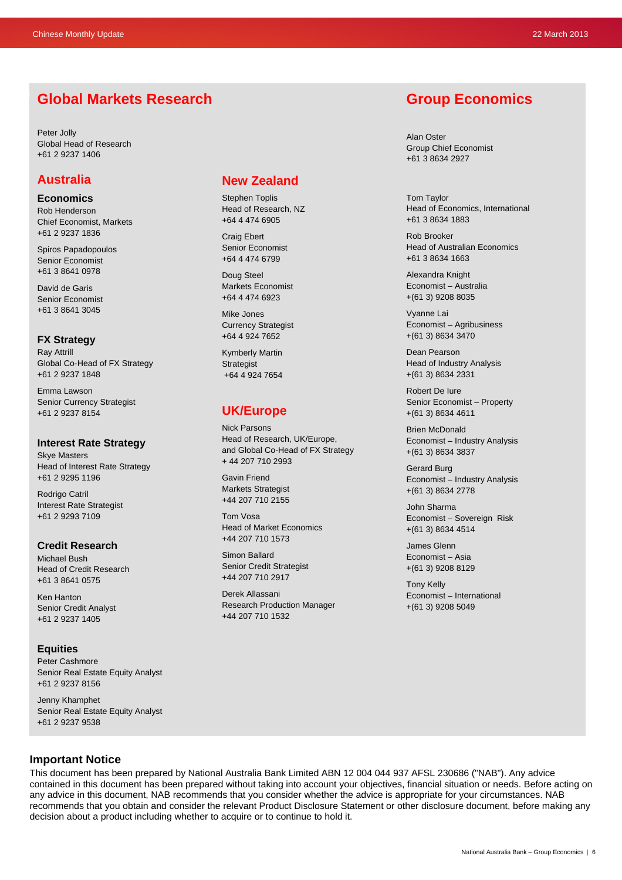# **Global Markets Research**

Peter Jolly Global Head of Research +61 2 9237 1406

## **Australia**

**Economics**  Rob Henderson Chief Economist, Markets +61 2 9237 1836

Spiros Papadopoulos Senior Economist +61 3 8641 0978

David de Garis Senior Economist +61 3 8641 3045

#### **FX Strategy**  Ray Attrill

Global Co-Head of FX Strategy +61 2 9237 1848

Emma Lawson Senior Currency Strategist +61 2 9237 8154

## **Interest Rate Strategy**

Skye Masters Head of Interest Rate Strategy +61 2 9295 1196

Rodrigo Catril Interest Rate Strategist +61 2 9293 7109

### **Credit Research**

Michael Bush Head of Credit Research +61 3 8641 0575

Ken Hanton Senior Credit Analyst +61 2 9237 1405

### **Equities**

Peter Cashmore Senior Real Estate Equity Analyst +61 2 9237 8156

Jenny Khamphet Senior Real Estate Equity Analyst +61 2 9237 9538

## **New Zealand**

Stephen Toplis Head of Research, NZ +64 4 474 6905

Craig Ebert Senior Economist +64 4 474 6799

Doug Steel Markets Economist +64 4 474 6923

Mike Jones Currency Strategist +64 4 924 7652

Kymberly Martin **Strategist** +64 4 924 7654

## **UK/Europe**

Nick Parsons Head of Research, UK/Europe, and Global Co-Head of FX Strategy + 44 207 710 2993

Gavin Friend Markets Strategist +44 207 710 2155

Tom Vosa Head of Market Economics +44 207 710 1573

Simon Ballard Senior Credit Strategist +44 207 710 2917

Derek Allassani Research Production Manager +44 207 710 1532

## **Group Economics**

Alan Oster Group Chief Economist +61 3 8634 2927

Tom Taylor Head of Economics, International +61 3 8634 1883

Rob Brooker Head of Australian Economics +61 3 8634 1663

Alexandra Knight Economist – Australia +(61 3) 9208 8035

Vyanne Lai Economist – Agribusiness +(61 3) 8634 3470

Dean Pearson Head of Industry Analysis +(61 3) 8634 2331

Robert De Iure Senior Economist – Property +(61 3) 8634 4611

Brien McDonald Economist – Industry Analysis +(61 3) 8634 3837

Gerard Burg Economist – Industry Analysis +(61 3) 8634 2778

John Sharma Economist – Sovereign Risk +(61 3) 8634 4514

James Glenn Economist – Asia +(61 3) 9208 8129

Tony Kelly Economist – International +(61 3) 9208 5049

## **Important Notice**

This document has been prepared by National Australia Bank Limited ABN 12 004 044 937 AFSL 230686 ("NAB"). Any advice contained in this document has been prepared without taking into account your objectives, financial situation or needs. Before acting on any advice in this document, NAB recommends that you consider whether the advice is appropriate for your circumstances. NAB recommends that you obtain and consider the relevant Product Disclosure Statement or other disclosure document, before making any decision about a product including whether to acquire or to continue to hold it.